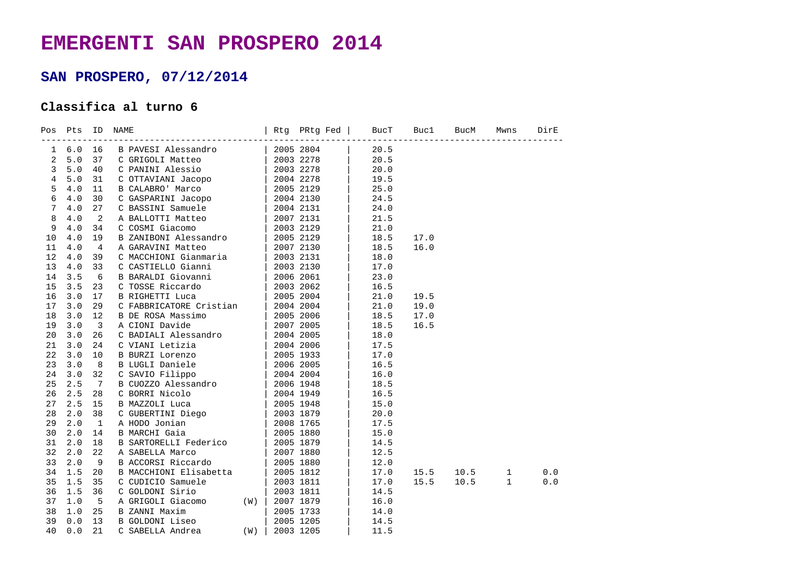## **EMERGENTI SAN PROSPERO 2014**

## **SAN PROSPERO, 07/12/2014**

## **Classifica al turno 6**

| Pos         | Pts          | ID              | NAME                     | Rtg | PRtg Fed  | <b>BucT</b> | Buc1 | BucM | Mwns         | DirE |
|-------------|--------------|-----------------|--------------------------|-----|-----------|-------------|------|------|--------------|------|
| $\mathbf 1$ | 6.0          | 16              | B PAVESI Alessandro      |     | 2005 2804 | 20.5        |      |      |              |      |
| 2           | 5.0          | 37              | C GRIGOLI Matteo         |     | 2003 2278 | 20.5        |      |      |              |      |
| 3           | 5.0          | 40              | C PANINI Alessio         |     | 2003 2278 | 20.0        |      |      |              |      |
| 4           | 5.0          | 31              | C OTTAVIANI Jacopo       |     | 2004 2278 | 19.5        |      |      |              |      |
| 5           | 4.0          | 11              | B CALABRO' Marco         |     | 2005 2129 | 25.0        |      |      |              |      |
| 6           | $4.0$        | 30              | C GASPARINI Jacopo       |     | 2004 2130 | 24.5        |      |      |              |      |
| 7           | 4.0          | 27              | C BASSINI Samuele        |     | 2004 2131 | 24.0        |      |      |              |      |
| 8           | 4.0          | 2               | A BALLOTTI Matteo        |     | 2007 2131 | 21.5        |      |      |              |      |
| 9           | 4.0          | 34              | C COSMI Giacomo          |     | 2003 2129 | 21.0        |      |      |              |      |
| 10          | 4.0          | 19              | B ZANIBONI Alessandro    |     | 2005 2129 | 18.5        | 17.0 |      |              |      |
| 11          | 4.0          | $\overline{4}$  | A GARAVINI Matteo        |     | 2007 2130 | 18.5        | 16.0 |      |              |      |
| 12          | 4.0          | 39              | C MACCHIONI Gianmaria    |     | 2003 2131 | 18.0        |      |      |              |      |
| 13          | $4\,.$ $0\,$ | 33              | C CASTIELLO Gianni       |     | 2003 2130 | 17.0        |      |      |              |      |
| 14          | 3.5          | 6               | B BARALDI Giovanni       |     | 2006 2061 | 23.0        |      |      |              |      |
| 15          | 3.5          | 23              | C TOSSE Riccardo         |     | 2003 2062 | 16.5        |      |      |              |      |
| 16          | 3.0          | 17              | <b>B RIGHETTI Luca</b>   |     | 2005 2004 | 21.0        | 19.5 |      |              |      |
| 17          | 3.0          | 29              | C FABBRICATORE Cristian  |     | 2004 2004 | 21.0        | 19.0 |      |              |      |
| 18          | 3.0          | 12              | <b>B DE ROSA Massimo</b> |     | 2005 2006 | 18.5        | 17.0 |      |              |      |
| 19          | 3.0          | 3               | A CIONI Davide           |     | 2007 2005 | 18.5        | 16.5 |      |              |      |
| 20          | 3.0          | 26              | C BADIALI Alessandro     |     | 2004 2005 | 18.0        |      |      |              |      |
| 21          | 3.0          | 24              | C VIANI Letizia          |     | 2004 2006 | 17.5        |      |      |              |      |
| 22          | 3.0          | 10              | B BURZI Lorenzo          |     | 2005 1933 | 17.0        |      |      |              |      |
| 23          | 3.0          | 8               | B LUGLI Daniele          |     | 2006 2005 | 16.5        |      |      |              |      |
| 24          | 3.0          | 32              | C SAVIO Filippo          |     | 2004 2004 | 16.0        |      |      |              |      |
| 25          | 2.5          | $7\phantom{.0}$ | B CUOZZO Alessandro      |     | 2006 1948 | 18.5        |      |      |              |      |
| 26          | 2.5          | 28              | C BORRI Nicolo           |     | 2004 1949 | 16.5        |      |      |              |      |
| 27          | 2.5          | 15              | B MAZZOLI Luca           |     | 2005 1948 | 15.0        |      |      |              |      |
| 28          | 2.0          | 38              | C GUBERTINI Diego        |     | 2003 1879 | 20.0        |      |      |              |      |
| 29          | 2.0          | 1               | A HODO Jonian            |     | 2008 1765 | 17.5        |      |      |              |      |
| 30          | 2.0          | 14              | <b>B MARCHI Gaia</b>     |     | 2005 1880 | 15.0        |      |      |              |      |
| 31          | 2.0          | 18              | B SARTORELLI Federico    |     | 2005 1879 | 14.5        |      |      |              |      |
| 32          | 2.0          | 22              | A SABELLA Marco          |     | 2007 1880 | 12.5        |      |      |              |      |
| 33          | 2.0          | 9               | B ACCORSI Riccardo       |     | 2005 1880 | 12.0        |      |      |              |      |
| 34          | 1.5          | 20              | B MACCHIONI Elisabetta   |     | 2005 1812 | 17.0        | 15.5 | 10.5 | $\mathbf{1}$ | 0.0  |
| 35          | 1.5          | 35              | C CUDICIO Samuele        |     | 2003 1811 | 17.0        | 15.5 | 10.5 | $\mathbf{1}$ | 0.0  |
| 36          | 1.5          | 36              | C GOLDONI Sirio          |     | 2003 1811 | 14.5        |      |      |              |      |
| 37          | 1.0          | 5               | A GRIGOLI Giacomo<br>(W) |     | 2007 1879 | 16.0        |      |      |              |      |
| 38          | 1.0          | 25              | <b>B ZANNI Maxim</b>     |     | 2005 1733 | 14.0        |      |      |              |      |
| 39          | 0.0          | 13              | B GOLDONI Liseo          |     | 2005 1205 | 14.5        |      |      |              |      |
| 40          | 0.0          | 21              | C SABELLA Andrea<br>(W)  |     | 2003 1205 | 11.5        |      |      |              |      |